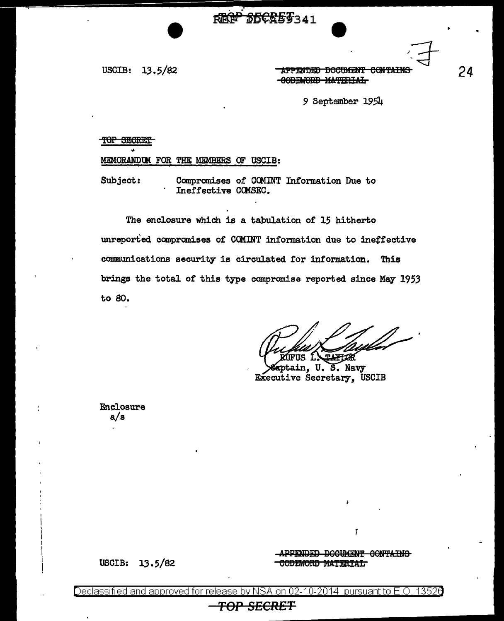REGP SECRES341

USCIB:  $13.5/82$ 

**-APPENDED DOCUMENT CONTAIN:** -CODEWORD MATERIAL

9 September 1954

### TOP SECRET

# MEMORANDUM FOR THE MEMBERS OF USCIB:

Compromises of COMINT Information Due to Subject: Ineffective COMSEC.

The enclosure which is a tabulation of 15 hitherto unreported compromises of COMINT information due to ineffective communications security is circulated for information. This brings the total of this type compromise reported since May 1953 to 80.

**TAFTOR** US L\

aptain, U.S. Navy Executive Secretary, USCIB

Enclosure  $a/s$ 

**USCIB:** 

 $13.5/82$ 

APPENDED DOCUMENT CONTAINS **CODEWORD MATERIAL** 

 $\overline{1}$ 

24

on 02-10-2014 pursuant to  $E.O$ . 13526 <u>Declassified and approved for release</u> INVINIS A

# <del>TOP SECRET</del>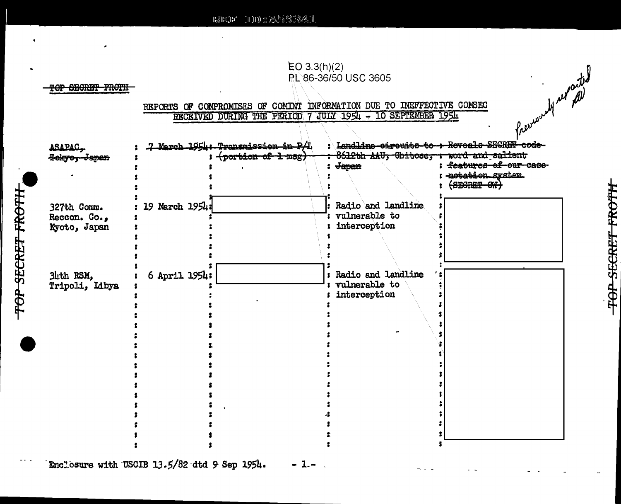E3ECE/ 100 : 22592341



## TOP SECRET FROTH

TOP SECRET FROTH

# REPORTS OF COMPROMISES OF COMINT INFORMATION DUE TO INEFFECTIVE COMSECTRECEIVED DURING THE PERIOD 7 JULY 1954 - 10 SEPTEMBER 1954

| TOP SECRET FROTH                            |                | EO 3.3(h)(2)<br>PL 86-36/50 USC 3605<br>Presumently reported<br>REPORTS OF COMPROMISES OF COMINT INFORMATION DUE TO INEFFECTIVE COMSEC<br>JULY 1954 - 10 SEPTEMBER 1954<br>RECEIVED DURING THE PERIOD 7 |                                                                                  |                                                                                        |  |  |  |  |
|---------------------------------------------|----------------|---------------------------------------------------------------------------------------------------------------------------------------------------------------------------------------------------------|----------------------------------------------------------------------------------|----------------------------------------------------------------------------------------|--|--|--|--|
| ASAPAC.<br><del>Tokyo, Japan</del>          |                | 7 March 1954: Transmission in P.4.<br>(portion of 1 msg)                                                                                                                                                | Landline eireuite to : Reveals SEGRET code-<br>8612th AAU, Chitose, :<br>: Japan | <del>word and salient</del><br>features of our case<br>notation system.<br>$6B6RBT-GW$ |  |  |  |  |
| 327th Comm.<br>Reccon. Co.,<br>Kyoto, Japan | 19 March 1954: |                                                                                                                                                                                                         | Radio and landline<br>vulnerable to<br>interception                              |                                                                                        |  |  |  |  |
| 34th RSM,<br>Tripoli, Libya                 | 6 April 1954:  | $\mathbf{r}$                                                                                                                                                                                            | Radio and landline<br>vulnerable to<br>interception                              |                                                                                        |  |  |  |  |
|                                             |                |                                                                                                                                                                                                         |                                                                                  |                                                                                        |  |  |  |  |
|                                             |                |                                                                                                                                                                                                         |                                                                                  |                                                                                        |  |  |  |  |

- 1

Enclosure with USCIB 13.5/82 dtd 9 Sep 1954.

**TOP SECRET FROTH**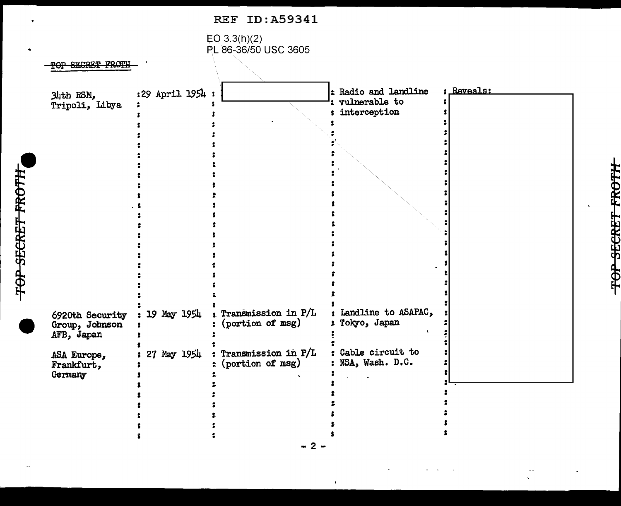



TOP SECRET FROTH

<del>TOP SECRET FROTH</del>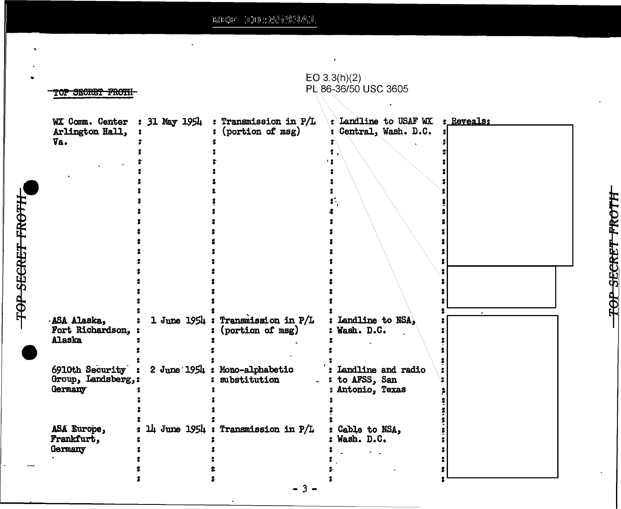$\left\| \left( \left\| \mathbf{J} \right) \right\|_{2}^{2} \sum_{\mathbf{c}} \left\| \left\langle \mathbf{c} \right\rangle_{\mathbf{c}}^{(k)} \right\rangle_{2}^{(k)} \left\| \mathbf{c} \right\rangle_{2}^{2} \left\| \mathbf{c} \right\|_{2}^{2} \right\|_{2}^{2}$  $\mathrm{H}^{\partial}_\mathrm{N} \mathrm{H}^0_\mathrm{h} \mathrm{H}^3$ 

 $\ddot{\phantom{a}}$ 

٠

**TOP SECRET FROTH** 

| TOP SECRET FROTH                                 |               | $EQ$ 3.3(h)(2)<br>PL 86-36/50 USC 3605                |                                                            |  |
|--------------------------------------------------|---------------|-------------------------------------------------------|------------------------------------------------------------|--|
| WX Comm. Center<br>Arlington Hall,<br>Va.        | : 31 May 1954 | : Transmission in P/L<br>(portion of msg)             | : Landline to USAF WX : Reveals:<br>Central, Wash. D.C.    |  |
| ASA Alaska,<br>Fort Richardson,<br><b>Alaska</b> |               | 1 June 1954 : Transmission in P/L<br>(portion of msg) | : Landline to NSA,<br>: Wash. D.C.                         |  |
| 6910th Security<br>Group, Landsberg,:<br>Germany |               | 2 June 1954 : Mono-alphabetic<br>: substitution<br>ä. | : Landline and radio<br>: to AFSS, San<br>: Antonio, Texas |  |
| ASA Europe,<br>Frankfurt,<br>Germany             |               | $1\mu$ June 1954 : Transmission in P/L                | : Cable to NSA,<br>: Wash. D.C.                            |  |

 $\bullet$ 

 $\Box$ 

 $-3-$ 

 $\ddot{\phantom{a}}$